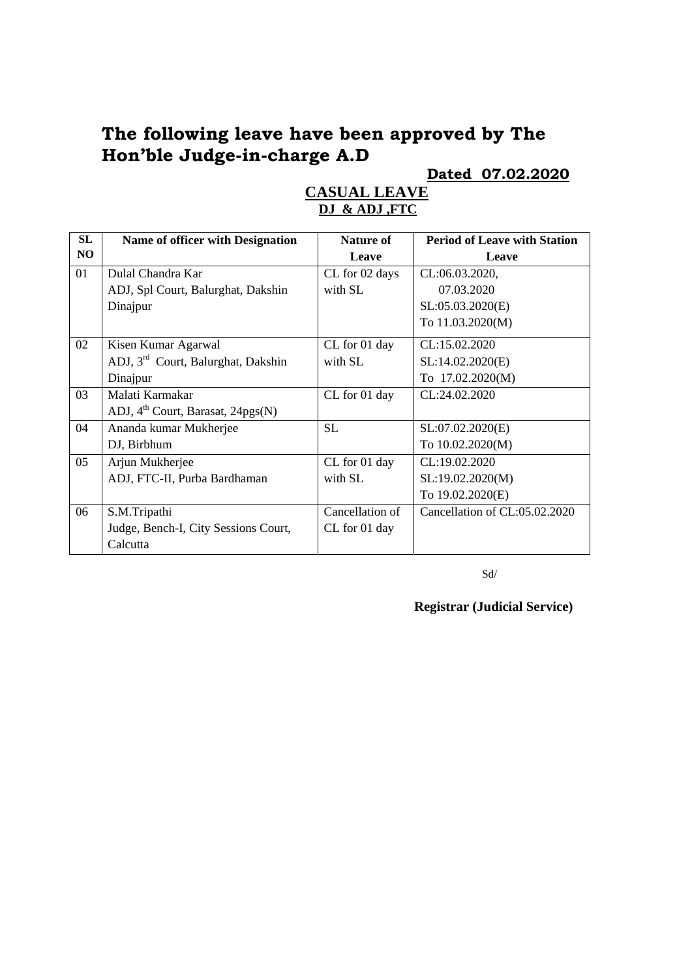# **The following leave have been approved by The Hon'ble Judge-in-charge A.D**

# **Dated 07.02.2020**

| <b>SL</b> | Name of officer with Designation               | Nature of       | <b>Period of Leave with Station</b> |
|-----------|------------------------------------------------|-----------------|-------------------------------------|
| NO        |                                                | Leave           | Leave                               |
| 01        | Dulal Chandra Kar                              | CL for 02 days  | CL:06.03.2020,                      |
|           | ADJ, Spl Court, Balurghat, Dakshin             | with SL         | 07.03.2020                          |
|           | Dinajpur                                       |                 | SL:05.03.2020(E)                    |
|           |                                                |                 | To 11.03.2020(M)                    |
| 02        | Kisen Kumar Agarwal                            | CL for 01 day   | CL:15.02.2020                       |
|           | ADJ, 3 <sup>rd</sup> Court, Balurghat, Dakshin | with SL         | SL:14.02.2020(E)                    |
|           | Dinajpur                                       |                 | To 17.02.2020(M)                    |
| 03        | Malati Karmakar                                | CL for 01 day   | CL:24.02.2020                       |
|           | ADJ, 4 <sup>th</sup> Court, Barasat, 24pgs(N)  |                 |                                     |
| 04        | Ananda kumar Mukherjee                         | <b>SL</b>       | SL:07.02.2020(E)                    |
|           | DJ, Birbhum                                    |                 | To 10.02.2020(M)                    |
| 05        | Arjun Mukherjee                                | CL for 01 day   | CL:19.02.2020                       |
|           | ADJ, FTC-II, Purba Bardhaman                   | with SL         | SL:19.02.2020(M)                    |
|           |                                                |                 | To 19.02.2020(E)                    |
| 06        | S.M.Tripathi                                   | Cancellation of | Cancellation of CL:05.02.2020       |
|           | Judge, Bench-I, City Sessions Court,           | CL for 01 day   |                                     |
|           | Calcutta                                       |                 |                                     |

#### **CASUAL LEAVE DJ & ADJ ,FTC**

Sd/

**Registrar (Judicial Service)**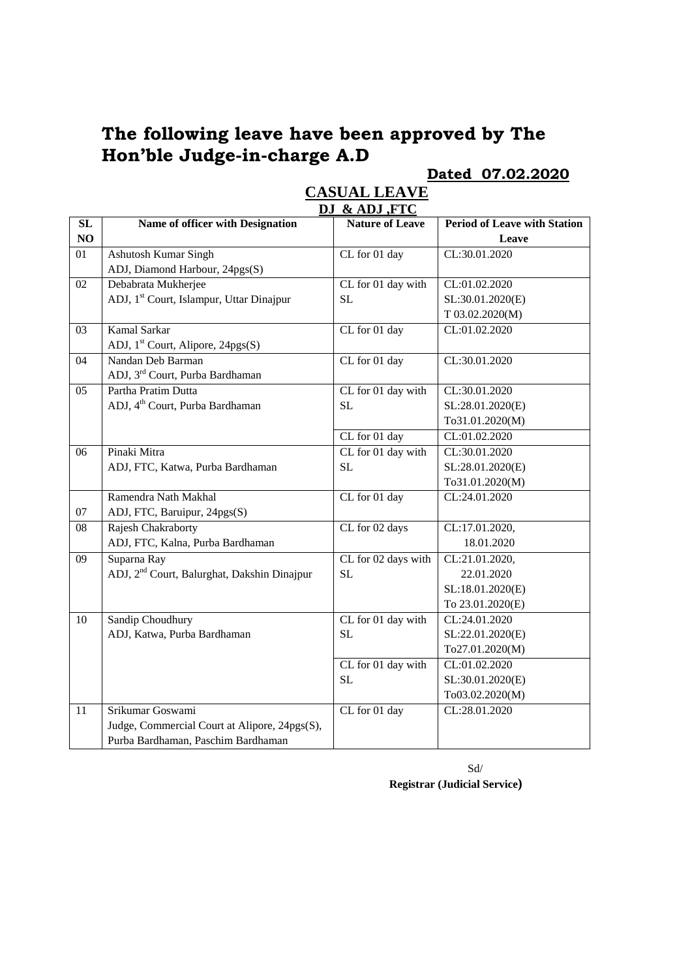# **The following leave have been approved by The Hon'ble Judge-in-charge A.D**

#### **Dated 07.02.2020**

|    |                                                         | DJ & ADJ, FTC          |                                     |
|----|---------------------------------------------------------|------------------------|-------------------------------------|
| SL | Name of officer with Designation                        | <b>Nature of Leave</b> | <b>Period of Leave with Station</b> |
| NO |                                                         |                        | Leave                               |
| 01 | Ashutosh Kumar Singh                                    | CL for 01 day          | CL:30.01.2020                       |
|    | ADJ, Diamond Harbour, 24pgs(S)                          |                        |                                     |
| 02 | Debabrata Mukherjee                                     | CL for 01 day with     | CL:01.02.2020                       |
|    | ADJ, 1 <sup>st</sup> Court, Islampur, Uttar Dinajpur    | <b>SL</b>              | SL:30.01.2020(E)                    |
|    |                                                         |                        | T 03.02.2020(M)                     |
| 03 | Kamal Sarkar                                            | CL for 01 day          | CL:01.02.2020                       |
|    | ADJ, 1 <sup>st</sup> Court, Alipore, 24pgs(S)           |                        |                                     |
| 04 | Nandan Deb Barman                                       | CL for 01 day          | CL:30.01.2020                       |
|    | ADJ, 3 <sup>rd</sup> Court, Purba Bardhaman             |                        |                                     |
| 05 | Partha Pratim Dutta                                     | CL for 01 day with     | CL:30.01.2020                       |
|    | ADJ, 4 <sup>th</sup> Court, Purba Bardhaman             | <b>SL</b>              | SL:28.01.2020(E)                    |
|    |                                                         |                        | To31.01.2020(M)                     |
|    |                                                         | CL for 01 day          | CL:01.02.2020                       |
| 06 | Pinaki Mitra                                            | CL for 01 day with     | CL:30.01.2020                       |
|    | ADJ, FTC, Katwa, Purba Bardhaman                        | <b>SL</b>              | SL:28.01.2020(E)                    |
|    |                                                         |                        | To31.01.2020(M)                     |
|    | Ramendra Nath Makhal                                    | CL for 01 day          | CL:24.01.2020                       |
| 07 | ADJ, FTC, Baruipur, 24pgs(S)                            |                        |                                     |
| 08 | Rajesh Chakraborty                                      | CL for 02 days         | CL:17.01.2020,                      |
|    | ADJ, FTC, Kalna, Purba Bardhaman                        |                        | 18.01.2020                          |
| 09 | Suparna Ray                                             | CL for 02 days with    | CL:21.01.2020,                      |
|    | ADJ, 2 <sup>nd</sup> Court, Balurghat, Dakshin Dinajpur | <b>SL</b>              | 22.01.2020                          |
|    |                                                         |                        | SL:18.01.2020(E)                    |
|    |                                                         |                        | To 23.01.2020(E)                    |
| 10 | Sandip Choudhury                                        | CL for 01 day with     | CL:24.01.2020                       |
|    | ADJ, Katwa, Purba Bardhaman                             | <b>SL</b>              | SL:22.01.2020(E)                    |
|    |                                                         |                        | To27.01.2020(M)                     |
|    |                                                         | CL for 01 day with     | CL:01.02.2020                       |
|    |                                                         | <b>SL</b>              | SL:30.01.2020(E)                    |
|    |                                                         |                        | To03.02.2020(M)                     |
| 11 | Srikumar Goswami                                        | CL for 01 day          | CL:28.01.2020                       |
|    | Judge, Commercial Court at Alipore, 24pgs(S),           |                        |                                     |
|    | Purba Bardhaman, Paschim Bardhaman                      |                        |                                     |

# **CASUAL LEAVE**

 Sd/ **Registrar (Judicial Service)**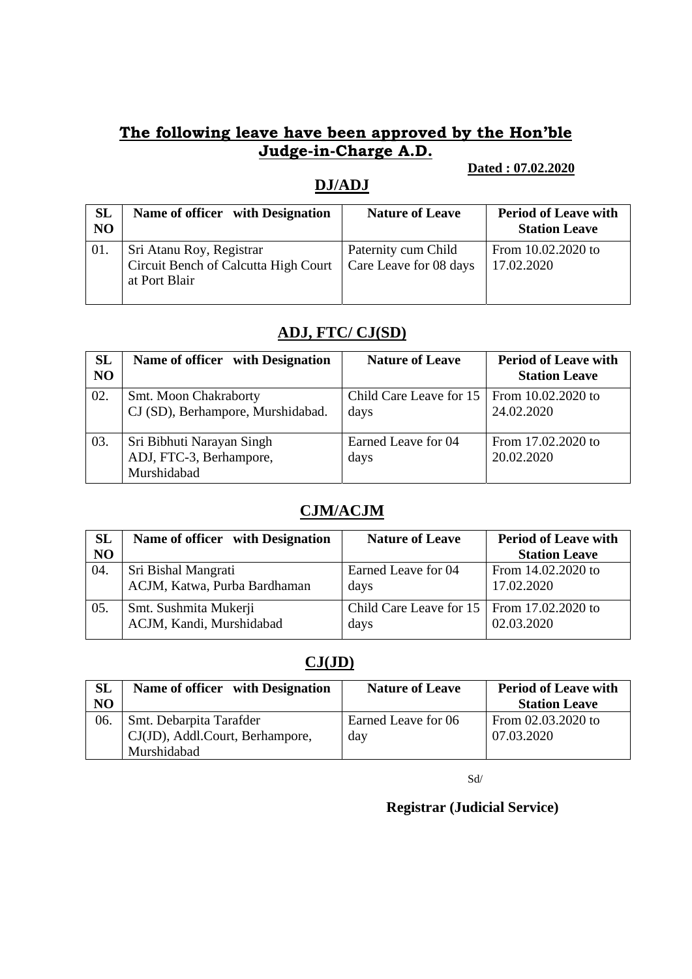### **The following leave have been approved by the Hon'ble Judge-in-Charge A.D.**

#### **Dated : 07.02.2020**

### **DJ/ADJ**

| SL<br>N <sub>O</sub> | Name of officer with Designation                                                  | <b>Nature of Leave</b>                        | <b>Period of Leave with</b><br><b>Station Leave</b> |
|----------------------|-----------------------------------------------------------------------------------|-----------------------------------------------|-----------------------------------------------------|
| 01.                  | Sri Atanu Roy, Registrar<br>Circuit Bench of Calcutta High Court<br>at Port Blair | Paternity cum Child<br>Care Leave for 08 days | From 10.02.2020 to<br>17.02.2020                    |

## **ADJ, FTC/ CJ(SD)**

| <b>SL</b><br>N <sub>O</sub> | Name of officer with Designation                                    | <b>Nature of Leave</b>                                    | <b>Period of Leave with</b><br><b>Station Leave</b> |
|-----------------------------|---------------------------------------------------------------------|-----------------------------------------------------------|-----------------------------------------------------|
| 02.                         | Smt. Moon Chakraborty<br>CJ (SD), Berhampore, Murshidabad.          | Child Care Leave for $15 \mid$ From 10.02.2020 to<br>days | 24.02.2020                                          |
| 03.                         | Sri Bibhuti Narayan Singh<br>ADJ, FTC-3, Berhampore,<br>Murshidabad | Earned Leave for 04<br>days                               | From 17.02.2020 to<br>20.02.2020                    |

#### **CJM/ACJM**

| <b>SL</b>      | Name of officer with Designation                    | <b>Nature of Leave</b>                                    | <b>Period of Leave with</b>      |
|----------------|-----------------------------------------------------|-----------------------------------------------------------|----------------------------------|
| N <sub>O</sub> |                                                     |                                                           | <b>Station Leave</b>             |
| 04.            | Sri Bishal Mangrati<br>ACJM, Katwa, Purba Bardhaman | Earned Leave for 04<br>days                               | From 14.02.2020 to<br>17.02.2020 |
| 05.            | Smt. Sushmita Mukerji<br>ACJM, Kandi, Murshidabad   | Child Care Leave for $15 \mid$ From 17.02.2020 to<br>days | 02.03.2020                       |

## **CJ(JD)**

| <b>SL</b> | Name of officer with Designation | <b>Nature of Leave</b> | <b>Period of Leave with</b> |
|-----------|----------------------------------|------------------------|-----------------------------|
| <b>NO</b> |                                  |                        | <b>Station Leave</b>        |
| 06.       | Smt. Debarpita Tarafder          | Earned Leave for 06    | From 02.03.2020 to          |
|           | CJ(JD), Addl.Court, Berhampore,  | day                    | 07.03.2020                  |
|           | Murshidabad                      |                        |                             |

Sd/

**Registrar (Judicial Service)**